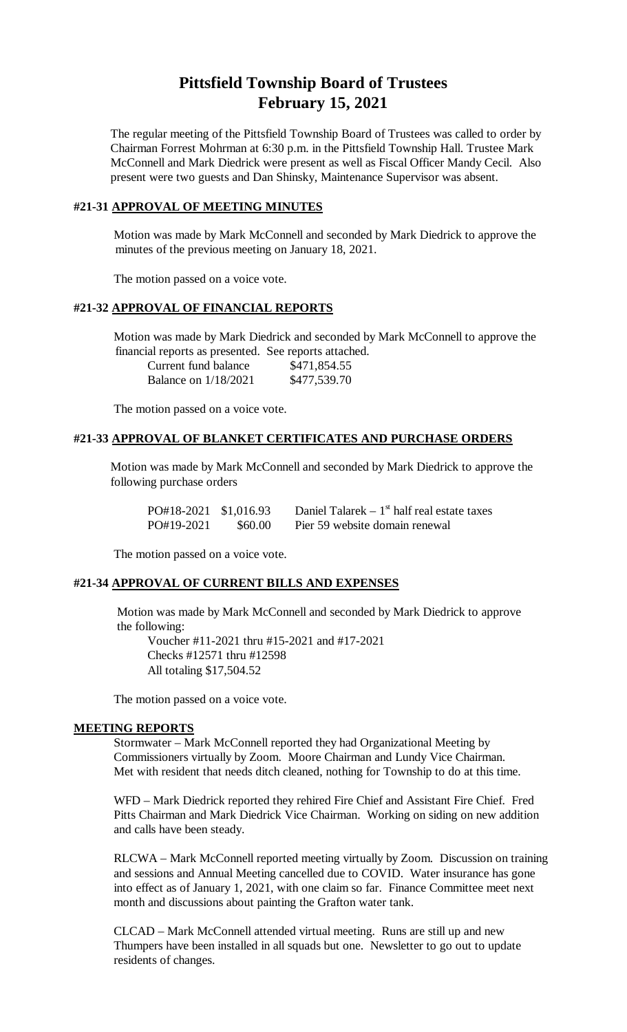# **Pittsfield Township Board of Trustees February 15, 2021**

The regular meeting of the Pittsfield Township Board of Trustees was called to order by Chairman Forrest Mohrman at 6:30 p.m. in the Pittsfield Township Hall. Trustee Mark McConnell and Mark Diedrick were present as well as Fiscal Officer Mandy Cecil. Also present were two guests and Dan Shinsky, Maintenance Supervisor was absent.

# **#21-31 APPROVAL OF MEETING MINUTES**

Motion was made by Mark McConnell and seconded by Mark Diedrick to approve the minutes of the previous meeting on January 18, 2021.

The motion passed on a voice vote.

## **#21-32 APPROVAL OF FINANCIAL REPORTS**

Motion was made by Mark Diedrick and seconded by Mark McConnell to approve the financial reports as presented. See reports attached.

| Current fund balance        | \$471,854.55 |
|-----------------------------|--------------|
| <b>Balance on 1/18/2021</b> | \$477,539.70 |

The motion passed on a voice vote.

#### **#21-33 APPROVAL OF BLANKET CERTIFICATES AND PURCHASE ORDERS**

Motion was made by Mark McConnell and seconded by Mark Diedrick to approve the following purchase orders

| PO#18-2021 \$1,016.93 |         | Daniel Talarek $-1st$ half real estate taxes |
|-----------------------|---------|----------------------------------------------|
| PO#19-2021            | \$60.00 | Pier 59 website domain renewal               |

The motion passed on a voice vote.

#### **#21-34 APPROVAL OF CURRENT BILLS AND EXPENSES**

Motion was made by Mark McConnell and seconded by Mark Diedrick to approve the following:

Voucher #11-2021 thru #15-2021 and #17-2021 Checks #12571 thru #12598 All totaling \$17,504.52

The motion passed on a voice vote.

#### **MEETING REPORTS**

Stormwater – Mark McConnell reported they had Organizational Meeting by Commissioners virtually by Zoom. Moore Chairman and Lundy Vice Chairman. Met with resident that needs ditch cleaned, nothing for Township to do at this time.

WFD – Mark Diedrick reported they rehired Fire Chief and Assistant Fire Chief. Fred Pitts Chairman and Mark Diedrick Vice Chairman. Working on siding on new addition and calls have been steady.

RLCWA – Mark McConnell reported meeting virtually by Zoom. Discussion on training and sessions and Annual Meeting cancelled due to COVID. Water insurance has gone into effect as of January 1, 2021, with one claim so far. Finance Committee meet next month and discussions about painting the Grafton water tank.

CLCAD – Mark McConnell attended virtual meeting. Runs are still up and new Thumpers have been installed in all squads but one. Newsletter to go out to update residents of changes.